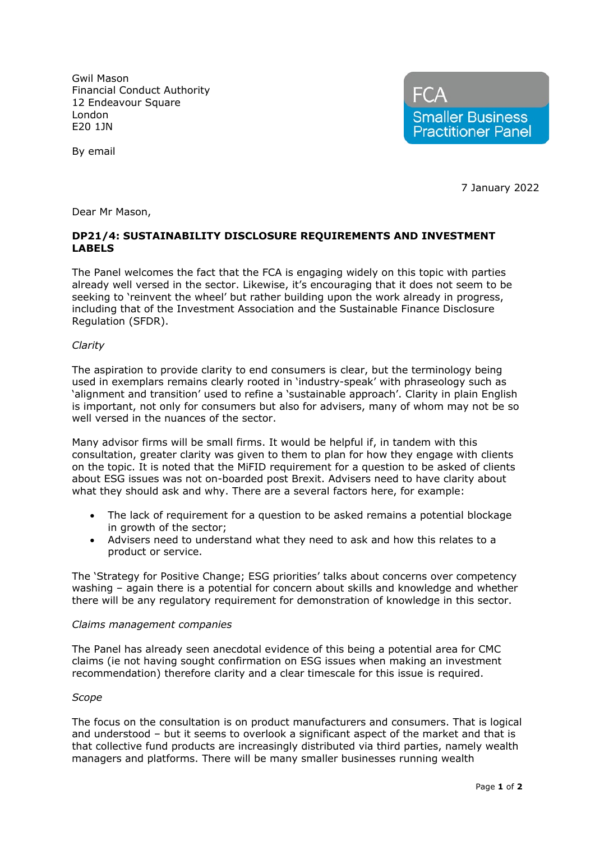Gwil Mason Financial Conduct Authority 12 Endeavour Square London E20 1JN



By email

7 January 2022

Dear Mr Mason,

# **DP21/4: SUSTAINABILITY DISCLOSURE REQUIREMENTS AND INVESTMENT LABELS**

The Panel welcomes the fact that the FCA is engaging widely on this topic with parties already well versed in the sector. Likewise, it's encouraging that it does not seem to be seeking to 'reinvent the wheel' but rather building upon the work already in progress, including that of the Investment Association and the Sustainable Finance Disclosure Regulation (SFDR).

## *Clarity*

The aspiration to provide clarity to end consumers is clear, but the terminology being used in exemplars remains clearly rooted in 'industry-speak' with phraseology such as 'alignment and transition' used to refine a 'sustainable approach'. Clarity in plain English is important, not only for consumers but also for advisers, many of whom may not be so well versed in the nuances of the sector.

Many advisor firms will be small firms. It would be helpful if, in tandem with this consultation, greater clarity was given to them to plan for how they engage with clients on the topic. It is noted that the MiFID requirement for a question to be asked of clients about ESG issues was not on-boarded post Brexit. Advisers need to have clarity about what they should ask and why. There are a several factors here, for example:

- The lack of requirement for a question to be asked remains a potential blockage in growth of the sector;
- Advisers need to understand what they need to ask and how this relates to a product or service.

The 'Strategy for Positive Change; ESG priorities' talks about concerns over competency washing – again there is a potential for concern about skills and knowledge and whether there will be any regulatory requirement for demonstration of knowledge in this sector.

### *Claims management companies*

The Panel has already seen anecdotal evidence of this being a potential area for CMC claims (ie not having sought confirmation on ESG issues when making an investment recommendation) therefore clarity and a clear timescale for this issue is required.

### *Scope*

The focus on the consultation is on product manufacturers and consumers. That is logical and understood – but it seems to overlook a significant aspect of the market and that is that collective fund products are increasingly distributed via third parties, namely wealth managers and platforms. There will be many smaller businesses running wealth